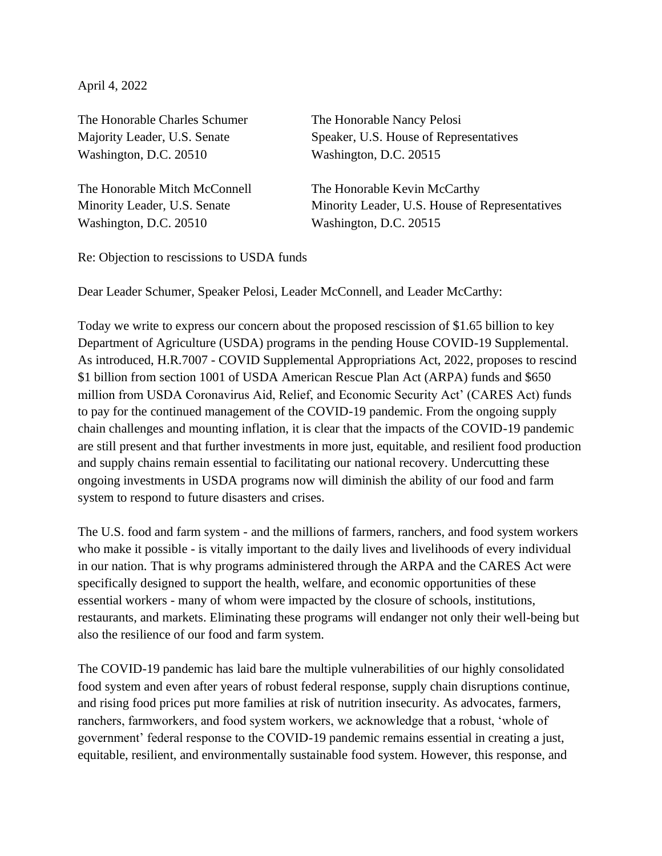April 4, 2022

The Honorable Charles Schumer The Honorable Nancy Pelosi Washington, D.C. 20510 Washington, D.C. 20515

The Honorable Mitch McConnell The Honorable Kevin McCarthy Washington, D.C. 20510 Washington, D.C. 20515

Majority Leader, U.S. Senate Speaker, U.S. House of Representatives

Minority Leader, U.S. Senate Minority Leader, U.S. House of Representatives

Re: Objection to rescissions to USDA funds

Dear Leader Schumer, Speaker Pelosi, Leader McConnell, and Leader McCarthy:

Today we write to express our concern about the proposed rescission of \$1.65 billion to key Department of Agriculture (USDA) programs in the pending House COVID-19 Supplemental. As introduced, H.R.7007 - COVID Supplemental Appropriations Act, 2022, proposes to rescind \$1 billion from section 1001 of USDA American Rescue Plan Act (ARPA) funds and \$650 million from USDA Coronavirus Aid, Relief, and Economic Security Act' (CARES Act) funds to pay for the continued management of the COVID-19 pandemic. From the ongoing supply chain challenges and mounting inflation, it is clear that the impacts of the COVID-19 pandemic are still present and that further investments in more just, equitable, and resilient food production and supply chains remain essential to facilitating our national recovery. Undercutting these ongoing investments in USDA programs now will diminish the ability of our food and farm system to respond to future disasters and crises.

The U.S. food and farm system - and the millions of farmers, ranchers, and food system workers who make it possible - is vitally important to the daily lives and livelihoods of every individual in our nation. That is why programs administered through the ARPA and the CARES Act were specifically designed to support the health, welfare, and economic opportunities of these essential workers - many of whom were impacted by the closure of schools, institutions, restaurants, and markets. Eliminating these programs will endanger not only their well-being but also the resilience of our food and farm system.

The COVID-19 pandemic has laid bare the multiple vulnerabilities of our highly consolidated food system and even after years of robust federal response, supply chain disruptions continue, and rising food prices put more families at risk of nutrition insecurity. As advocates, farmers, ranchers, farmworkers, and food system workers, we acknowledge that a robust, 'whole of government' federal response to the COVID-19 pandemic remains essential in creating a just, equitable, resilient, and environmentally sustainable food system. However, this response, and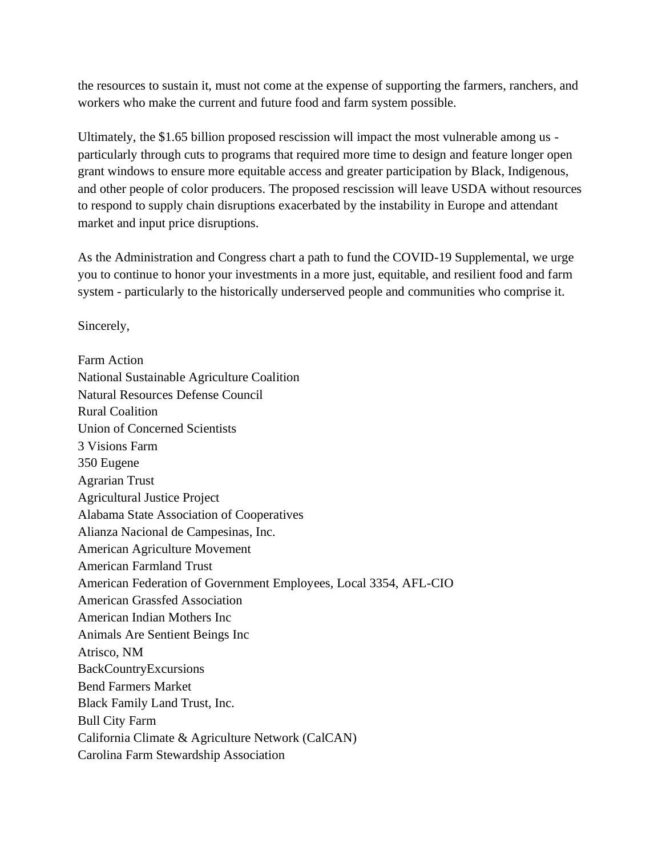the resources to sustain it, must not come at the expense of supporting the farmers, ranchers, and workers who make the current and future food and farm system possible.

Ultimately, the \$1.65 billion proposed rescission will impact the most vulnerable among us particularly through cuts to programs that required more time to design and feature longer open grant windows to ensure more equitable access and greater participation by Black, Indigenous, and other people of color producers. The proposed rescission will leave USDA without resources to respond to supply chain disruptions exacerbated by the instability in Europe and attendant market and input price disruptions.

As the Administration and Congress chart a path to fund the COVID-19 Supplemental, we urge you to continue to honor your investments in a more just, equitable, and resilient food and farm system - particularly to the historically underserved people and communities who comprise it.

Sincerely,

Farm Action National Sustainable Agriculture Coalition Natural Resources Defense Council Rural Coalition Union of Concerned Scientists 3 Visions Farm 350 Eugene Agrarian Trust Agricultural Justice Project Alabama State Association of Cooperatives Alianza Nacional de Campesinas, Inc. American Agriculture Movement American Farmland Trust American Federation of Government Employees, Local 3354, AFL-CIO American Grassfed Association American Indian Mothers Inc Animals Are Sentient Beings Inc Atrisco, NM BackCountryExcursions Bend Farmers Market Black Family Land Trust, Inc. Bull City Farm California Climate & Agriculture Network (CalCAN) Carolina Farm Stewardship Association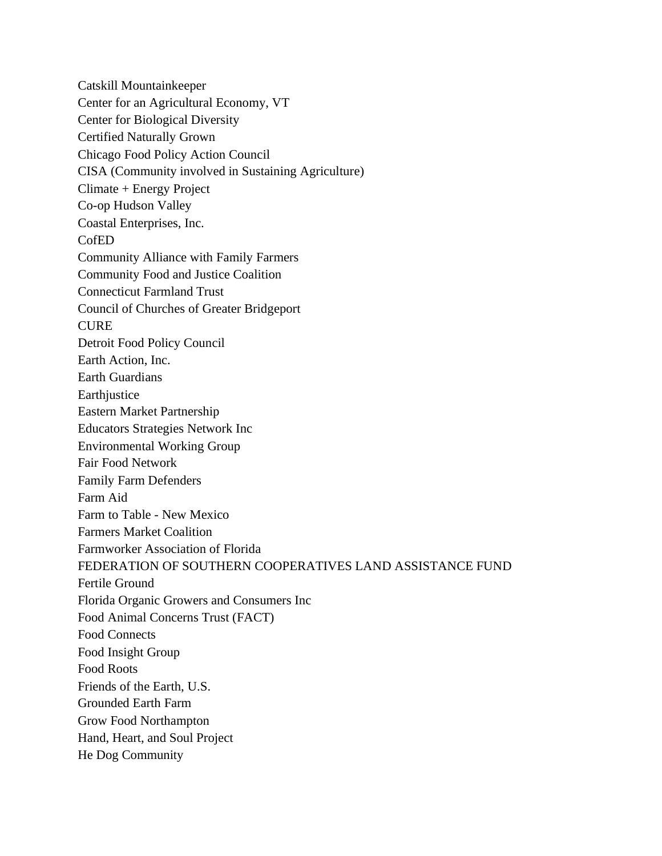Catskill Mountainkeeper Center for an Agricultural Economy, VT Center for Biological Diversity Certified Naturally Grown Chicago Food Policy Action Council CISA (Community involved in Sustaining Agriculture) Climate + Energy Project Co-op Hudson Valley Coastal Enterprises, Inc. CofED Community Alliance with Family Farmers Community Food and Justice Coalition Connecticut Farmland Trust Council of Churches of Greater Bridgeport CURE Detroit Food Policy Council Earth Action, Inc. Earth Guardians **Earthjustice** Eastern Market Partnership Educators Strategies Network Inc Environmental Working Group Fair Food Network Family Farm Defenders Farm Aid Farm to Table - New Mexico Farmers Market Coalition Farmworker Association of Florida FEDERATION OF SOUTHERN COOPERATIVES LAND ASSISTANCE FUND Fertile Ground Florida Organic Growers and Consumers Inc Food Animal Concerns Trust (FACT) Food Connects Food Insight Group Food Roots Friends of the Earth, U.S. Grounded Earth Farm Grow Food Northampton Hand, Heart, and Soul Project He Dog Community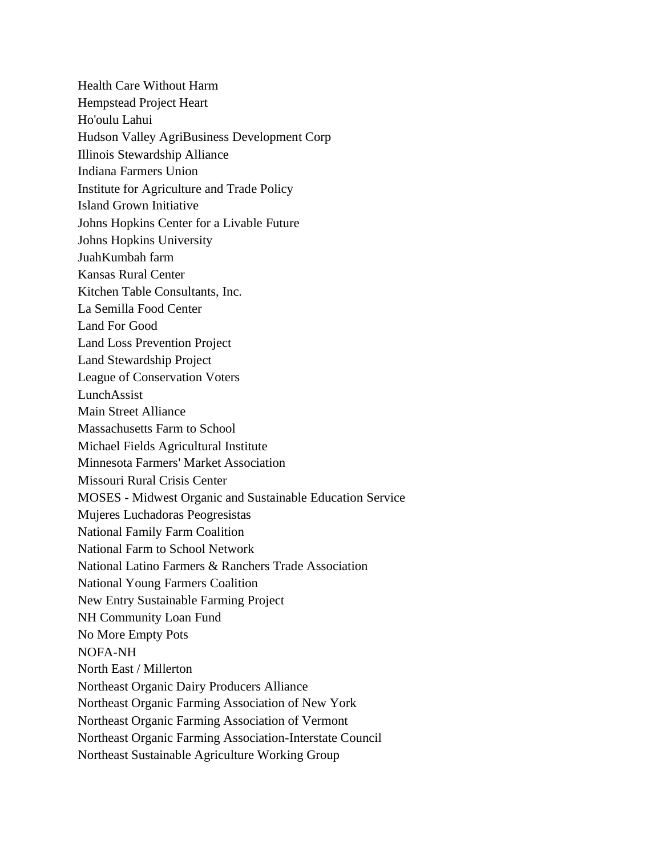Health Care Without Harm Hempstead Project Heart Ho'oulu Lahui Hudson Valley AgriBusiness Development Corp Illinois Stewardship Alliance Indiana Farmers Union Institute for Agriculture and Trade Policy Island Grown Initiative Johns Hopkins Center for a Livable Future Johns Hopkins University JuahKumbah farm Kansas Rural Center Kitchen Table Consultants, Inc. La Semilla Food Center Land For Good Land Loss Prevention Project Land Stewardship Project League of Conservation Voters LunchAssist Main Street Alliance Massachusetts Farm to School Michael Fields Agricultural Institute Minnesota Farmers' Market Association Missouri Rural Crisis Center MOSES - Midwest Organic and Sustainable Education Service Mujeres Luchadoras Peogresistas National Family Farm Coalition National Farm to School Network National Latino Farmers & Ranchers Trade Association National Young Farmers Coalition New Entry Sustainable Farming Project NH Community Loan Fund No More Empty Pots NOFA-NH North East / Millerton Northeast Organic Dairy Producers Alliance Northeast Organic Farming Association of New York Northeast Organic Farming Association of Vermont Northeast Organic Farming Association-Interstate Council Northeast Sustainable Agriculture Working Group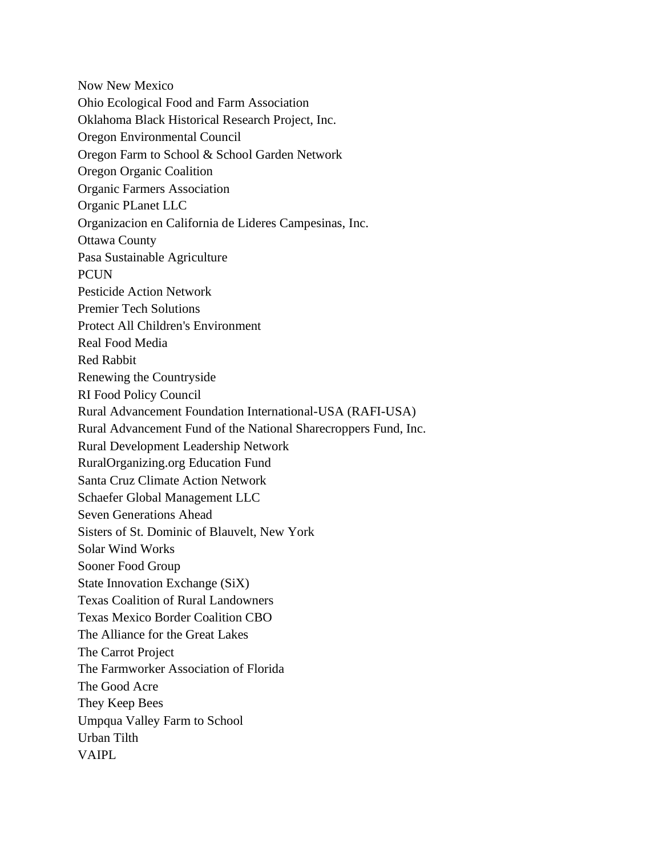Now New Mexico Ohio Ecological Food and Farm Association Oklahoma Black Historical Research Project, Inc. Oregon Environmental Council Oregon Farm to School & School Garden Network Oregon Organic Coalition Organic Farmers Association Organic PLanet LLC Organizacion en California de Lideres Campesinas, Inc. Ottawa County Pasa Sustainable Agriculture **PCUN** Pesticide Action Network Premier Tech Solutions Protect All Children's Environment Real Food Media Red Rabbit Renewing the Countryside RI Food Policy Council Rural Advancement Foundation International-USA (RAFI-USA) Rural Advancement Fund of the National Sharecroppers Fund, Inc. Rural Development Leadership Network RuralOrganizing.org Education Fund Santa Cruz Climate Action Network Schaefer Global Management LLC Seven Generations Ahead Sisters of St. Dominic of Blauvelt, New York Solar Wind Works Sooner Food Group State Innovation Exchange (SiX) Texas Coalition of Rural Landowners Texas Mexico Border Coalition CBO The Alliance for the Great Lakes The Carrot Project The Farmworker Association of Florida The Good Acre They Keep Bees Umpqua Valley Farm to School Urban Tilth VAIPL